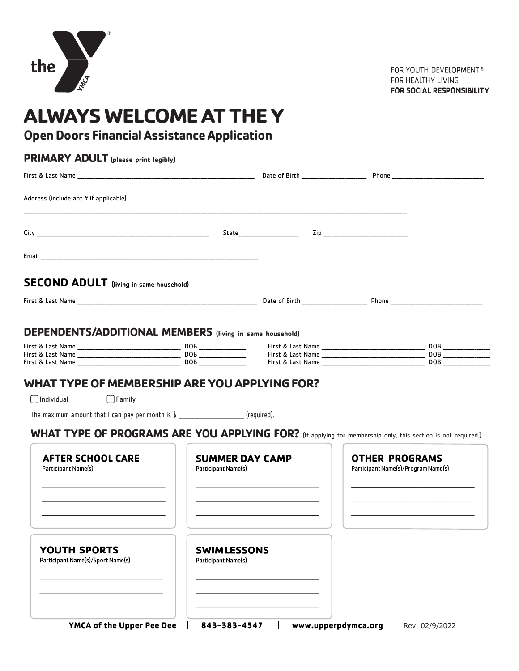

FOR YOUTH DEVELOPMENT® FOR HEALTHY LIVING FOR SOCIAL RESPONSIBILITY

# **ALWAYS WELCOME AT THE Y**

# **OpenDoors FinancialAssistanceApplication**

| Address (include apt # if applicable)                                                                                                       |                                                                                                                                                               |                                                              |  |
|---------------------------------------------------------------------------------------------------------------------------------------------|---------------------------------------------------------------------------------------------------------------------------------------------------------------|--------------------------------------------------------------|--|
|                                                                                                                                             |                                                                                                                                                               |                                                              |  |
|                                                                                                                                             |                                                                                                                                                               |                                                              |  |
| <b>SECOND ADULT</b> (living in same household)                                                                                              |                                                                                                                                                               |                                                              |  |
|                                                                                                                                             |                                                                                                                                                               |                                                              |  |
| DEPENDENTS/ADDITIONAL MEMBERS (living in same household)                                                                                    |                                                                                                                                                               |                                                              |  |
|                                                                                                                                             |                                                                                                                                                               |                                                              |  |
|                                                                                                                                             |                                                                                                                                                               |                                                              |  |
| $\bigcup$ Family                                                                                                                            | WHAT TYPE OF MEMBERSHIP ARE YOU APPLYING FOR?                                                                                                                 |                                                              |  |
| Individual<br>The maximum amount that $l$ can pay per month is $\frac{1}{2}$ [required].<br><b>AFTER SCHOOL CARE</b><br>Participant Name(s) | WHAT TYPE OF PROGRAMS ARE YOU APPLYING FOR? (If applying for membership only, this section is not required.)<br><b>SUMMER DAY CAMP</b><br>Participant Name(s) | <b>OTHER PROGRAMS</b><br>Participant Name(s)/Program Name(s) |  |
| YOUTH SPORTS<br>Participant Name(s)/Sport Name(s)                                                                                           | <b>SWIMLESSONS</b><br>Participant Name(s)                                                                                                                     |                                                              |  |